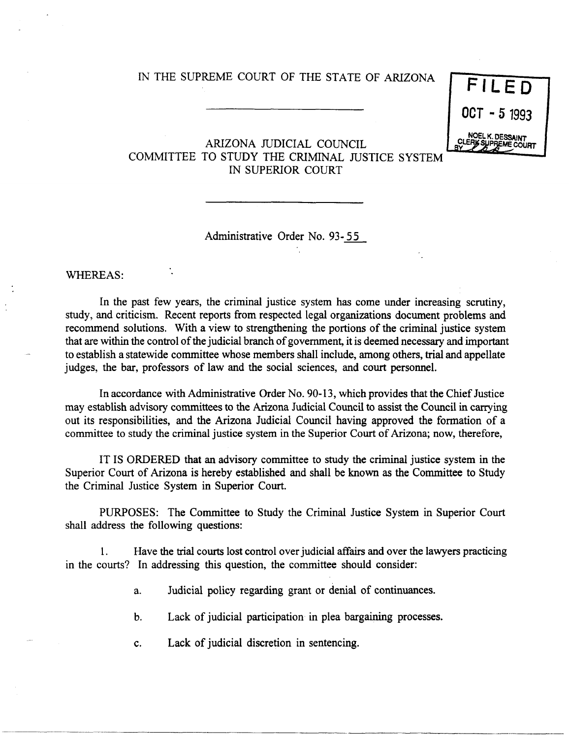## IN THE SUPREME COURT OF THE STATE OF ARIZONA

| FILED                                   |  |
|-----------------------------------------|--|
| $0C$ T - 5 1993                         |  |
| NOEL K. DESSAINT<br>CLERK SUPREME COURT |  |

---------------------

## ARIZONA JUDICIAL COUNCIL COMMITTEE TO STUDY THE CRIMINAL JUSTICE SYSTEM IN SUPERIOR COURT

Administrative Order No. 93-55

WHEREAS:

In the past few years, the criminal justice system has come under increasing scrutiny, study, and criticism. Recent reports from respected legal organizations document problems and recommend solutions. With a view to strengthening the portions of the criminal justice system that are within the control of the judicial branch of government, it is deemed necessary and important to establish a statewide committee whose members shall include, among others, trial and appellate judges, the bar, professors of law and the social sciences, and court personnel.

In accordance with Administrative Order No. 90-13, which provides that the Chief Justice may establish advisory committees to the Arizona Judicial Council to assist the Council in carrying out its responsibilities, and the Arizona Judicial Council having approved the formation of a committee to study the criminal justice system in the Superior Court of Arizona; now, therefore,

IT IS ORDERED that an advisory committee to study the criminal justice system in the Superior Court of Arizona is hereby established and shall be known as the Committee to Study the Criminal Justice System in Superior Court.

PURPOSES: The Committee to Study the Criminal Justice System in Superior Court shall address the following questions:

1. Have the trial courts lost control over judicial affairs and over the lawyers practicing in the courts? In addressing this question, the committee should consider:

- a. Judicial policy regarding grant or denial of continuances.
- b. Lack of judicial participation in plea bargaining processes.
- c. Lack of judicial discretion in sentencing.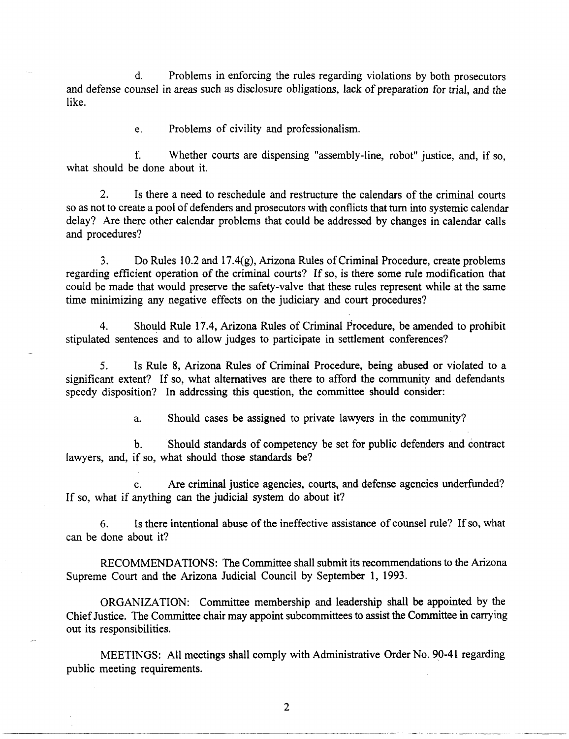d. Problems in enforcing the rules regarding violations by both prosecutors and defense counsel in areas such as disclosure obligations, lack of preparation for trial, and the like.

e. Problems of civility and professionalism.

f. Whether courts are dispensing "assembly-line, robot" justice, and, if so, what should be done about it.

2. Is there a need to reschedule and restructure the calendars of the criminal courts so as not to create a pool of defenders and prosecutors with conflicts that turn into systemic calendar delay? Are there other calendar problems that could be addressed by changes in calendar calls and procedures?

3. Do Rules 10.2 and 17.4(g), Arizona Rules of Criminal Procedure, create problems regarding efficient operation of the criminal courts? If so, is there some rule modification that could be made that would preserve the safety-valve that these rules represent while at the same time minimizing any negative effects on the judiciary and court procedures?

4. Should Rule 17.4, Arizona Rules of Criminal Procedure, be amended to prohibit stipulated sentences and to allow judges to participate in settlement conferences?

5. Is Rule 8, Arizona Rules of Criminal Procedure, being abused or violated to a significant extent? If so, what alternatives are there to afford the community and defendants speedy disposition? In addressing this question, the committee should consider:

a. Should cases be assigned to private lawyers in the community?

b. Should standards of competency be set for public defenders and contract lawyers, and, if so, what should those standards be?

c. Are criminal justice agencies, courts, and defense agencies underfunded? If so, what if anything can the judicial system do about it?

6. Is there intentional abuse of the ineffective assistance of counsel rule? If so, what can be done about it?

RECOMMENDATIONS: The Committee shall submit its recommendations to the Arizona Supreme Court and the Arizona Judicial Council by September 1, 1993.

ORGANIZATION: Committee membership and leadership shall be appointed by the Chief Justice. The Committee chair may appoint subcommittees to assist the Committee in carrying out its responsibilities.

MEETINGS: All meetings shall comply with Administrative Order No. 90-41 regarding public meeting requirements.

2